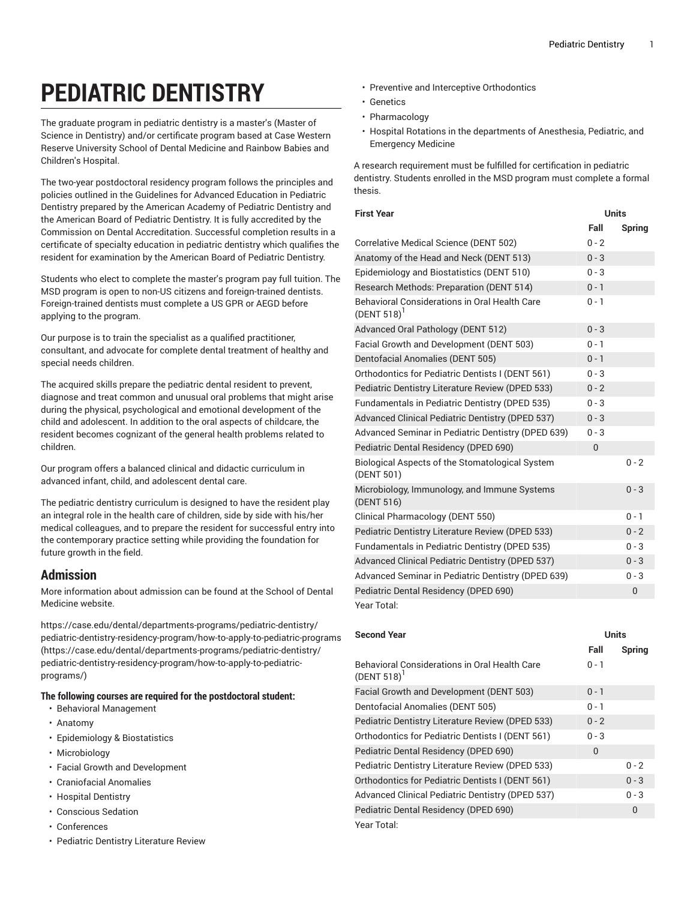## **PEDIATRIC DENTISTRY**

The graduate program in pediatric dentistry is a master's (Master of Science in Dentistry) and/or certificate program based at Case Western Reserve University School of Dental Medicine and Rainbow Babies and Children's Hospital.

The two-year postdoctoral residency program follows the principles and policies outlined in the Guidelines for Advanced Education in Pediatric Dentistry prepared by the American Academy of Pediatric Dentistry and the American Board of Pediatric Dentistry. It is fully accredited by the Commission on Dental Accreditation. Successful completion results in a certificate of specialty education in pediatric dentistry which qualifies the resident for examination by the American Board of Pediatric Dentistry.

Students who elect to complete the master's program pay full tuition. The MSD program is open to non-US citizens and foreign-trained dentists. Foreign-trained dentists must complete a US GPR or AEGD before applying to the program.

Our purpose is to train the specialist as a qualified practitioner, consultant, and advocate for complete dental treatment of healthy and special needs children.

The acquired skills prepare the pediatric dental resident to prevent, diagnose and treat common and unusual oral problems that might arise during the physical, psychological and emotional development of the child and adolescent. In addition to the oral aspects of childcare, the resident becomes cognizant of the general health problems related to children.

Our program offers a balanced clinical and didactic curriculum in advanced infant, child, and adolescent dental care.

The pediatric dentistry curriculum is designed to have the resident play an integral role in the health care of children, side by side with his/her medical colleagues, and to prepare the resident for successful entry into the contemporary practice setting while providing the foundation for future growth in the field.

## **Admission**

More information about admission can be found at the School of Dental Medicine website.

[https://case.edu/dental/departments-programs/pediatric-dentistry/](https://case.edu/dental/departments-programs/pediatric-dentistry/pediatric-dentistry-residency-program/how-to-apply-to-pediatric-programs/) [pediatric-dentistry-residency-program/how-to-apply-to-pediatric-programs](https://case.edu/dental/departments-programs/pediatric-dentistry/pediatric-dentistry-residency-program/how-to-apply-to-pediatric-programs/) ([https://case.edu/dental/departments-programs/pediatric-dentistry/](https://case.edu/dental/departments-programs/pediatric-dentistry/pediatric-dentistry-residency-program/how-to-apply-to-pediatric-programs/) [pediatric-dentistry-residency-program/how-to-apply-to-pediatric](https://case.edu/dental/departments-programs/pediatric-dentistry/pediatric-dentistry-residency-program/how-to-apply-to-pediatric-programs/)[programs/\)](https://case.edu/dental/departments-programs/pediatric-dentistry/pediatric-dentistry-residency-program/how-to-apply-to-pediatric-programs/)

## **The following courses are required for the postdoctoral student:**

- Behavioral Management
- Anatomy
- Epidemiology & Biostatistics
- Microbiology
- Facial Growth and Development
- Craniofacial Anomalies
- Hospital Dentistry
- Conscious Sedation
- Conferences
- Pediatric Dentistry Literature Review
- Preventive and Interceptive Orthodontics
- Genetics
- Pharmacology
- Hospital Rotations in the departments of Anesthesia, Pediatric, and Emergency Medicine

A research requirement must be fulfilled for certification in pediatric dentistry. Students enrolled in the MSD program must complete a formal thesis.

| <b>First Year</b>                                             | <b>Units</b> |               |
|---------------------------------------------------------------|--------------|---------------|
|                                                               | Fall         | <b>Spring</b> |
| Correlative Medical Science (DENT 502)                        | $0 - 2$      |               |
| Anatomy of the Head and Neck (DENT 513)                       | $0 - 3$      |               |
| Epidemiology and Biostatistics (DENT 510)                     | $0 - 3$      |               |
| Research Methods: Preparation (DENT 514)                      | $0 - 1$      |               |
| Behavioral Considerations in Oral Health Care<br>(DENT 518)   | $0 - 1$      |               |
| Advanced Oral Pathology (DENT 512)                            | $0 - 3$      |               |
| Facial Growth and Development (DENT 503)                      | $0 - 1$      |               |
| Dentofacial Anomalies (DENT 505)                              | $0 - 1$      |               |
| Orthodontics for Pediatric Dentists I (DENT 561)              | $0 - 3$      |               |
| Pediatric Dentistry Literature Review (DPED 533)              | $0 - 2$      |               |
| Fundamentals in Pediatric Dentistry (DPED 535)                | $0 - 3$      |               |
| Advanced Clinical Pediatric Dentistry (DPED 537)              | $0 - 3$      |               |
| Advanced Seminar in Pediatric Dentistry (DPED 639)            | $0 - 3$      |               |
| Pediatric Dental Residency (DPED 690)                         | $\mathbf{0}$ |               |
| Biological Aspects of the Stomatological System<br>(DENT 501) |              | $0 - 2$       |
| Microbiology, Immunology, and Immune Systems<br>(DENT 516)    |              | $0 - 3$       |
| Clinical Pharmacology (DENT 550)                              |              | $0 - 1$       |
| Pediatric Dentistry Literature Review (DPED 533)              |              | $0 - 2$       |
| Fundamentals in Pediatric Dentistry (DPED 535)                |              | $0 - 3$       |
| Advanced Clinical Pediatric Dentistry (DPED 537)              |              | $0 - 3$       |
| Advanced Seminar in Pediatric Dentistry (DPED 639)            |              | $0 - 3$       |
| Pediatric Dental Residency (DPED 690)                         |              | 0             |
| Year Total:                                                   |              |               |

| <b>Second Year</b>                                              | Units   |               |
|-----------------------------------------------------------------|---------|---------------|
|                                                                 | Fall    | <b>Spring</b> |
| Behavioral Considerations in Oral Health Care<br>$(DENT 518)^T$ | $0 - 1$ |               |
| Facial Growth and Development (DENT 503)                        | $0 - 1$ |               |
| Dentofacial Anomalies (DENT 505)                                | $0 - 1$ |               |
| Pediatric Dentistry Literature Review (DPED 533)                | $0 - 2$ |               |
| Orthodontics for Pediatric Dentists I (DENT 561)                | $0 - 3$ |               |
| Pediatric Dental Residency (DPED 690)                           | 0       |               |
| Pediatric Dentistry Literature Review (DPED 533)                |         | $0 - 2$       |
| Orthodontics for Pediatric Dentists I (DENT 561)                |         | $0 - 3$       |
| Advanced Clinical Pediatric Dentistry (DPED 537)                |         | $0 - 3$       |
| Pediatric Dental Residency (DPED 690)                           |         | 0             |
| Year Total:                                                     |         |               |